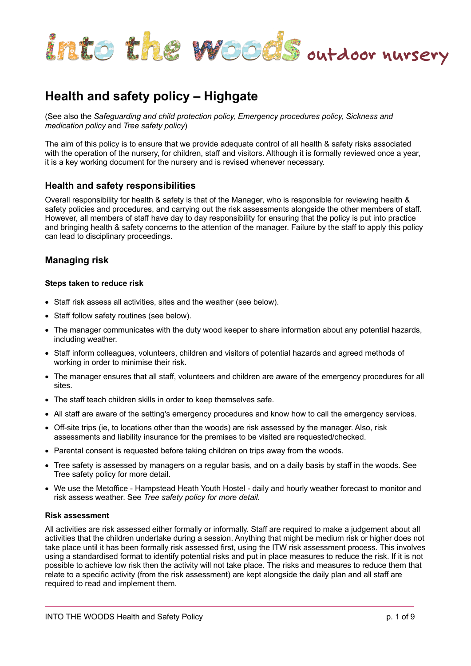

# **Health and safety policy – Highgate**

(See also the *Safeguarding and child protection policy, Emergency procedures policy, Sickness and medication policy* and *Tree safety policy*)

The aim of this policy is to ensure that we provide adequate control of all health & safety risks associated with the operation of the nursery, for children, staff and visitors. Although it is formally reviewed once a year, it is a key working document for the nursery and is revised whenever necessary.

### **Health and safety responsibilities**

Overall responsibility for health & safety is that of the Manager, who is responsible for reviewing health & safety policies and procedures, and carrying out the risk assessments alongside the other members of staff. However, all members of staff have day to day responsibility for ensuring that the policy is put into practice and bringing health & safety concerns to the attention of the manager. Failure by the staff to apply this policy can lead to disciplinary proceedings.

# **Managing risk**

### **Steps taken to reduce risk**

- Staff risk assess all activities, sites and the weather (see below).
- Staff follow safety routines (see below).
- The manager communicates with the duty wood keeper to share information about any potential hazards, including weather.
- Staff inform colleagues, volunteers, children and visitors of potential hazards and agreed methods of working in order to minimise their risk.
- The manager ensures that all staff, volunteers and children are aware of the emergency procedures for all sites.
- The staff teach children skills in order to keep themselves safe.
- All staff are aware of the setting's emergency procedures and know how to call the emergency services.
- Off-site trips (ie, to locations other than the woods) are risk assessed by the manager. Also, risk assessments and liability insurance for the premises to be visited are requested/checked.
- Parental consent is requested before taking children on trips away from the woods.
- Tree safety is assessed by managers on a regular basis, and on a daily basis by staff in the woods. See Tree safety policy for more detail.
- We use the Metoffice Hampstead Heath Youth Hostel daily and hourly weather forecast to monitor and risk assess weather. See *Tree safety policy for more detail.*

### **Risk assessment**

All activities are risk assessed either formally or informally. Staff are required to make a judgement about all activities that the children undertake during a session. Anything that might be medium risk or higher does not take place until it has been formally risk assessed first, using the ITW risk assessment process. This involves using a standardised format to identify potential risks and put in place measures to reduce the risk. If it is not possible to achieve low risk then the activity will not take place. The risks and measures to reduce them that relate to a specific activity (from the risk assessment) are kept alongside the daily plan and all staff are required to read and implement them.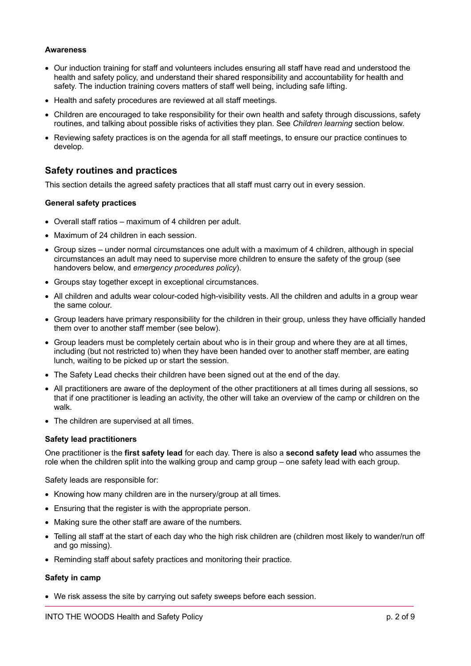### **Awareness**

- Our induction training for staff and volunteers includes ensuring all staff have read and understood the health and safety policy, and understand their shared responsibility and accountability for health and safety. The induction training covers matters of staff well being, including safe lifting.
- Health and safety procedures are reviewed at all staff meetings.
- Children are encouraged to take responsibility for their own health and safety through discussions, safety routines, and talking about possible risks of activities they plan. See *Children learning* section below.
- Reviewing safety practices is on the agenda for all staff meetings, to ensure our practice continues to develop.

# **Safety routines and practices**

This section details the agreed safety practices that all staff must carry out in every session.

### **General safety practices**

- Overall staff ratios maximum of 4 children per adult.
- Maximum of 24 children in each session.
- Group sizes under normal circumstances one adult with a maximum of 4 children, although in special circumstances an adult may need to supervise more children to ensure the safety of the group (see handovers below, and *emergency procedures policy*).
- Groups stay together except in exceptional circumstances.
- All children and adults wear colour-coded high-visibility vests. All the children and adults in a group wear the same colour.
- Group leaders have primary responsibility for the children in their group, unless they have officially handed them over to another staff member (see below).
- Group leaders must be completely certain about who is in their group and where they are at all times, including (but not restricted to) when they have been handed over to another staff member, are eating lunch, waiting to be picked up or start the session.
- The Safety Lead checks their children have been signed out at the end of the day.
- All practitioners are aware of the deployment of the other practitioners at all times during all sessions, so that if one practitioner is leading an activity, the other will take an overview of the camp or children on the walk.
- The children are supervised at all times.

### **Safety lead practitioners**

One practitioner is the **first safety lead** for each day. There is also a **second safety lead** who assumes the role when the children split into the walking group and camp group – one safety lead with each group.

Safety leads are responsible for:

- Knowing how many children are in the nursery/group at all times.
- Ensuring that the register is with the appropriate person.
- Making sure the other staff are aware of the numbers.
- Telling all staff at the start of each day who the high risk children are (children most likely to wander/run off and go missing).
- Reminding staff about safety practices and monitoring their practice.

### **Safety in camp**

• We risk assess the site by carrying out safety sweeps before each session.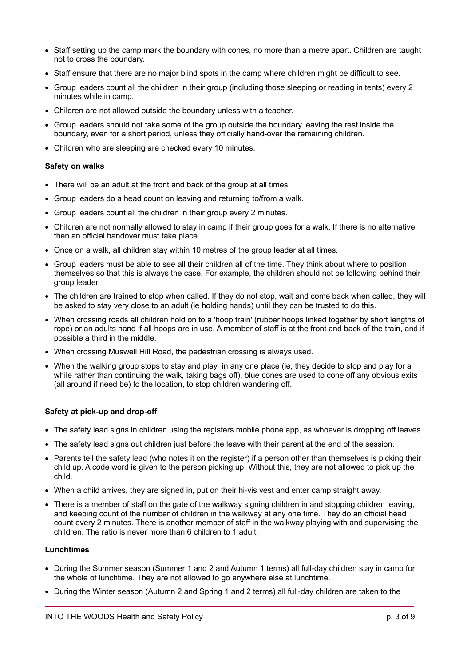- Staff setting up the camp mark the boundary with cones, no more than a metre apart. Children are taught not to cross the boundary.
- Staff ensure that there are no major blind spots in the camp where children might be difficult to see.
- Group leaders count all the children in their group (including those sleeping or reading in tents) every 2 minutes while in camp.
- Children are not allowed outside the boundary unless with a teacher.
- Group leaders should not take some of the group outside the boundary leaving the rest inside the boundary, even for a short period, unless they officially hand-over the remaining children.
- Children who are sleeping are checked every 10 minutes.

### **Safety on walks**

- There will be an adult at the front and back of the group at all times.
- Group leaders do a head count on leaving and returning to/from a walk.
- Group leaders count all the children in their group every 2 minutes.
- Children are not normally allowed to stay in camp if their group goes for a walk. If there is no alternative, then an official handover must take place.
- Once on a walk, all children stay within 10 metres of the group leader at all times.
- Group leaders must be able to see all their children all of the time. They think about where to position themselves so that this is always the case. For example, the children should not be following behind their group leader.
- The children are trained to stop when called. If they do not stop, wait and come back when called, they will be asked to stay very close to an adult (ie holding hands) until they can be trusted to do this.
- When crossing roads all children hold on to a 'hoop train' (rubber hoops linked together by short lengths of rope) or an adults hand if all hoops are in use. A member of staff is at the front and back of the train, and if possible a third in the middle.
- When crossing Muswell Hill Road, the pedestrian crossing is always used.
- When the walking group stops to stay and play in any one place (ie, they decide to stop and play for a while rather than continuing the walk, taking bags off), blue cones are used to cone off any obvious exits (all around if need be) to the location, to stop children wandering off.

### **Safety at pick-up and drop-off**

- The safety lead signs in children using the registers mobile phone app, as whoever is dropping off leaves.
- The safety lead signs out children just before the leave with their parent at the end of the session.
- Parents tell the safety lead (who notes it on the register) if a person other than themselves is picking their child up. A code word is given to the person picking up. Without this, they are not allowed to pick up the child.
- When a child arrives, they are signed in, put on their hi-vis vest and enter camp straight away.
- There is a member of staff on the gate of the walkway signing children in and stopping children leaving, and keeping count of the number of children in the walkway at any one time. They do an official head count every 2 minutes. There is another member of staff in the walkway playing with and supervising the children. The ratio is never more than 6 children to 1 adult.

### **Lunchtimes**

- During the Summer season (Summer 1 and 2 and Autumn 1 terms) all full-day children stay in camp for the whole of lunchtime. They are not allowed to go anywhere else at lunchtime.
- During the Winter season (Autumn 2 and Spring 1 and 2 terms) all full-day children are taken to the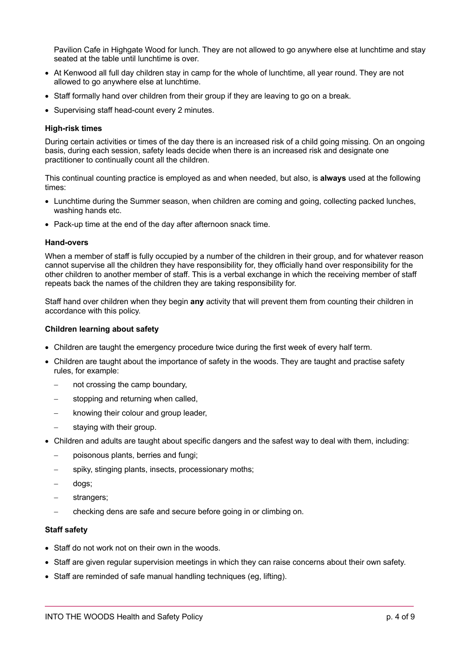Pavilion Cafe in Highgate Wood for lunch. They are not allowed to go anywhere else at lunchtime and stay seated at the table until lunchtime is over.

- At Kenwood all full day children stay in camp for the whole of lunchtime, all year round. They are not allowed to go anywhere else at lunchtime.
- Staff formally hand over children from their group if they are leaving to go on a break.
- Supervising staff head-count every 2 minutes.

### **High-risk times**

During certain activities or times of the day there is an increased risk of a child going missing. On an ongoing basis, during each session, safety leads decide when there is an increased risk and designate one practitioner to continually count all the children.

This continual counting practice is employed as and when needed, but also, is **always** used at the following times:

- Lunchtime during the Summer season, when children are coming and going, collecting packed lunches, washing hands etc.
- Pack-up time at the end of the day after afternoon snack time.

### **Hand-overs**

When a member of staff is fully occupied by a number of the children in their group, and for whatever reason cannot supervise all the children they have responsibility for, they officially hand over responsibility for the other children to another member of staff. This is a verbal exchange in which the receiving member of staff repeats back the names of the children they are taking responsibility for.

Staff hand over children when they begin **any** activity that will prevent them from counting their children in accordance with this policy.

### **Children learning about safety**

- Children are taught the emergency procedure twice during the first week of every half term.
- Children are taught about the importance of safety in the woods. They are taught and practise safety rules, for example:
	- not crossing the camp boundary,
	- stopping and returning when called,
	- knowing their colour and group leader,
	- staying with their group.
- Children and adults are taught about specific dangers and the safest way to deal with them, including:
	- poisonous plants, berries and fungi;
	- spiky, stinging plants, insects, processionary moths;
	- dogs;
	- strangers;
	- checking dens are safe and secure before going in or climbing on.

### **Staff safety**

- Staff do not work not on their own in the woods.
- Staff are given regular supervision meetings in which they can raise concerns about their own safety.
- Staff are reminded of safe manual handling techniques (eg, lifting).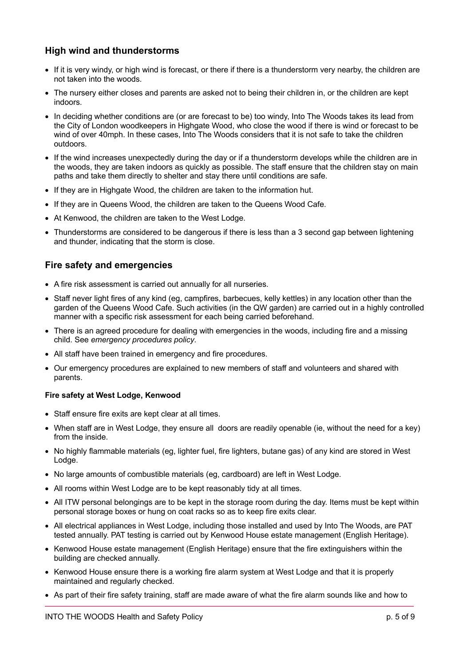# **High wind and thunderstorms**

- If it is very windy, or high wind is forecast, or there if there is a thunderstorm very nearby, the children are not taken into the woods.
- The nursery either closes and parents are asked not to being their children in, or the children are kept indoors.
- In deciding whether conditions are (or are forecast to be) too windy, Into The Woods takes its lead from the City of London woodkeepers in Highgate Wood, who close the wood if there is wind or forecast to be wind of over 40mph. In these cases, Into The Woods considers that it is not safe to take the children outdoors.
- If the wind increases unexpectedly during the day or if a thunderstorm develops while the children are in the woods, they are taken indoors as quickly as possible. The staff ensure that the children stay on main paths and take them directly to shelter and stay there until conditions are safe.
- If they are in Highgate Wood, the children are taken to the information hut.
- If they are in Queens Wood, the children are taken to the Queens Wood Cafe.
- At Kenwood, the children are taken to the West Lodge.
- Thunderstorms are considered to be dangerous if there is less than a 3 second gap between lightening and thunder, indicating that the storm is close.

# **Fire safety and emergencies**

- A fire risk assessment is carried out annually for all nurseries.
- Staff never light fires of any kind (eg, campfires, barbecues, kelly kettles) in any location other than the garden of the Queens Wood Cafe. Such activities (in the QW garden) are carried out in a highly controlled manner with a specific risk assessment for each being carried beforehand.
- There is an agreed procedure for dealing with emergencies in the woods, including fire and a missing child. See *emergency procedures policy*.
- All staff have been trained in emergency and fire procedures.
- Our emergency procedures are explained to new members of staff and volunteers and shared with parents.

### **Fire safety at West Lodge, Kenwood**

- Staff ensure fire exits are kept clear at all times.
- When staff are in West Lodge, they ensure all doors are readily openable (ie, without the need for a key) from the inside.
- No highly flammable materials (eg, lighter fuel, fire lighters, butane gas) of any kind are stored in West Lodge.
- No large amounts of combustible materials (eg, cardboard) are left in West Lodge.
- All rooms within West Lodge are to be kept reasonably tidy at all times.
- All ITW personal belongings are to be kept in the storage room during the day. Items must be kept within personal storage boxes or hung on coat racks so as to keep fire exits clear.
- All electrical appliances in West Lodge, including those installed and used by Into The Woods, are PAT tested annually. PAT testing is carried out by Kenwood House estate management (English Heritage).
- Kenwood House estate management (English Heritage) ensure that the fire extinguishers within the building are checked annually.
- Kenwood House ensure there is a working fire alarm system at West Lodge and that it is properly maintained and regularly checked.
- As part of their fire safety training, staff are made aware of what the fire alarm sounds like and how to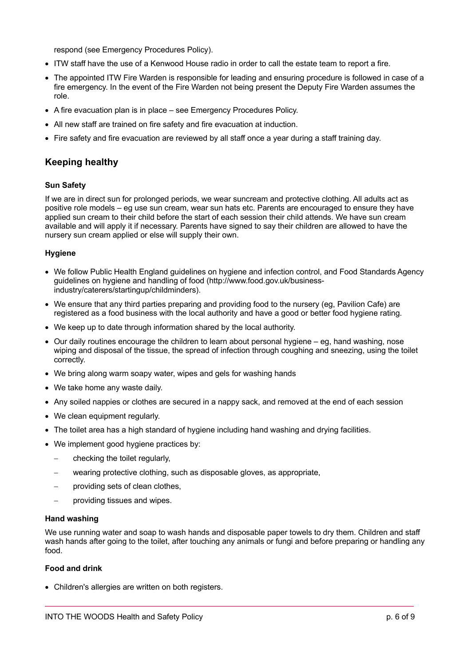respond (see Emergency Procedures Policy).

- ITW staff have the use of a Kenwood House radio in order to call the estate team to report a fire.
- The appointed ITW Fire Warden is responsible for leading and ensuring procedure is followed in case of a fire emergency. In the event of the Fire Warden not being present the Deputy Fire Warden assumes the role.
- A fire evacuation plan is in place see Emergency Procedures Policy.
- All new staff are trained on fire safety and fire evacuation at induction.
- Fire safety and fire evacuation are reviewed by all staff once a year during a staff training day.

# **Keeping healthy**

### **Sun Safety**

If we are in direct sun for prolonged periods, we wear suncream and protective clothing. All adults act as positive role models – eg use sun cream, wear sun hats etc. Parents are encouraged to ensure they have applied sun cream to their child before the start of each session their child attends. We have sun cream available and will apply it if necessary. Parents have signed to say their children are allowed to have the nursery sun cream applied or else will supply their own.

### **Hygiene**

- We follow Public Health England guidelines on hygiene and infection control, and Food Standards Agency guidelines on hygiene and handling of food (http://www.food.gov.uk/businessindustry/caterers/startingup/childminders).
- We ensure that any third parties preparing and providing food to the nursery (eg, Pavilion Cafe) are registered as a food business with the local authority and have a good or better food hygiene rating.
- We keep up to date through information shared by the local authority.
- Our daily routines encourage the children to learn about personal hygiene eg, hand washing, nose wiping and disposal of the tissue, the spread of infection through coughing and sneezing, using the toilet correctly.
- We bring along warm soapy water, wipes and gels for washing hands
- We take home any waste daily.
- Any soiled nappies or clothes are secured in a nappy sack, and removed at the end of each session
- We clean equipment reqularly.
- The toilet area has a high standard of hygiene including hand washing and drying facilities.
- We implement good hygiene practices by:
	- checking the toilet regularly,
	- wearing protective clothing, such as disposable gloves, as appropriate,
	- providing sets of clean clothes,
	- providing tissues and wipes.

### **Hand washing**

We use running water and soap to wash hands and disposable paper towels to dry them. Children and staff wash hands after going to the toilet, after touching any animals or fungi and before preparing or handling any food.

### **Food and drink**

• Children's allergies are written on both registers.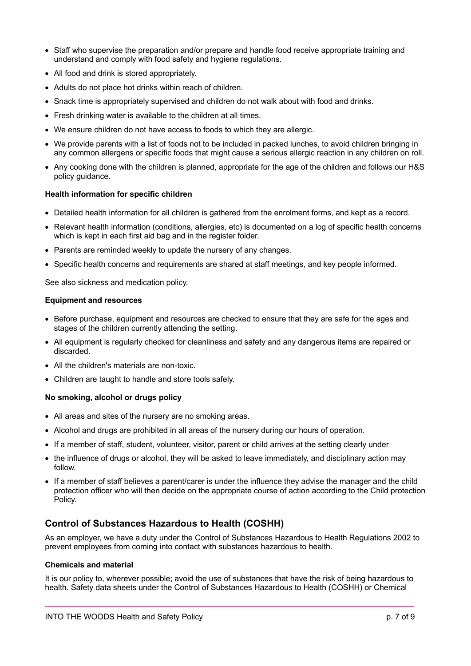- Staff who supervise the preparation and/or prepare and handle food receive appropriate training and understand and comply with food safety and hygiene regulations.
- All food and drink is stored appropriately.
- Adults do not place hot drinks within reach of children.
- Snack time is appropriately supervised and children do not walk about with food and drinks.
- Fresh drinking water is available to the children at all times.
- We ensure children do not have access to foods to which they are allergic.
- We provide parents with a list of foods not to be included in packed lunches, to avoid children bringing in any common allergens or specific foods that might cause a serious allergic reaction in any children on roll.
- Any cooking done with the children is planned, appropriate for the age of the children and follows our H&S policy guidance.

### **Health information for specific children**

- Detailed health information for all children is gathered from the enrolment forms, and kept as a record.
- Relevant health information (conditions, allergies, etc) is documented on a log of specific health concerns which is kept in each first aid bag and in the register folder.
- Parents are reminded weekly to update the nursery of any changes.
- Specific health concerns and requirements are shared at staff meetings, and key people informed.

See also sickness and medication policy.

### **Equipment and resources**

- Before purchase, equipment and resources are checked to ensure that they are safe for the ages and stages of the children currently attending the setting.
- All equipment is regularly checked for cleanliness and safety and any dangerous items are repaired or discarded.
- All the children's materials are non-toxic.
- Children are taught to handle and store tools safely.

### **No smoking, alcohol or drugs policy**

- All areas and sites of the nursery are no smoking areas.
- Alcohol and drugs are prohibited in all areas of the nursery during our hours of operation.
- If a member of staff, student, volunteer, visitor, parent or child arrives at the setting clearly under
- the influence of drugs or alcohol, they will be asked to leave immediately, and disciplinary action may follow.
- If a member of staff believes a parent/carer is under the influence they advise the manager and the child protection officer who will then decide on the appropriate course of action according to the Child protection Policy.

# **Control of Substances Hazardous to Health (COSHH)**

As an employer, we have a duty under the Control of Substances Hazardous to Health Regulations 2002 to prevent employees from coming into contact with substances hazardous to health.

### **Chemicals and material**

It is our policy to, wherever possible; avoid the use of substances that have the risk of being hazardous to health. Safety data sheets under the Control of Substances Hazardous to Health (COSHH) or Chemical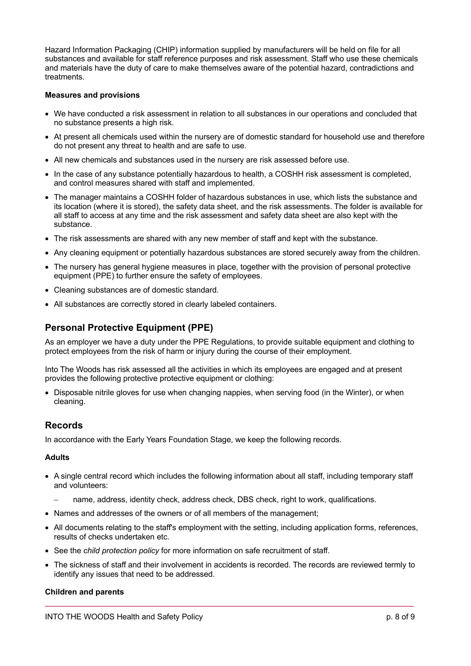Hazard Information Packaging (CHIP) information supplied by manufacturers will be held on file for all substances and available for staff reference purposes and risk assessment. Staff who use these chemicals and materials have the duty of care to make themselves aware of the potential hazard, contradictions and treatments.

### **Measures and provisions**

- We have conducted a risk assessment in relation to all substances in our operations and concluded that no substance presents a high risk.
- At present all chemicals used within the nursery are of domestic standard for household use and therefore do not present any threat to health and are safe to use.
- All new chemicals and substances used in the nursery are risk assessed before use.
- In the case of any substance potentially hazardous to health, a COSHH risk assessment is completed, and control measures shared with staff and implemented.
- The manager maintains a COSHH folder of hazardous substances in use, which lists the substance and its location (where it is stored), the safety data sheet, and the risk assessments. The folder is available for all staff to access at any time and the risk assessment and safety data sheet are also kept with the substance.
- The risk assessments are shared with any new member of staff and kept with the substance.
- Any cleaning equipment or potentially hazardous substances are stored securely away from the children.
- The nursery has general hygiene measures in place, together with the provision of personal protective equipment (PPE) to further ensure the safety of employees.
- Cleaning substances are of domestic standard.
- All substances are correctly stored in clearly labeled containers.

# **Personal Protective Equipment (PPE)**

As an employer we have a duty under the PPE Regulations, to provide suitable equipment and clothing to protect employees from the risk of harm or injury during the course of their employment.

Into The Woods has risk assessed all the activities in which its employees are engaged and at present provides the following protective protective equipment or clothing:

• Disposable nitrile gloves for use when changing nappies, when serving food (in the Winter), or when cleaning.

### **Records**

In accordance with the Early Years Foundation Stage, we keep the following records.

### **Adults**

- A single central record which includes the following information about all staff, including temporary staff and volunteers:
	- name, address, identity check, address check, DBS check, right to work, qualifications.
- Names and addresses of the owners or of all members of the management;
- All documents relating to the staff's employment with the setting, including application forms, references, results of checks undertaken etc.
- See the *child protection policy* for more information on safe recruitment of staff.
- The sickness of staff and their involvement in accidents is recorded. The records are reviewed termly to identify any issues that need to be addressed.

### **Children and parents**